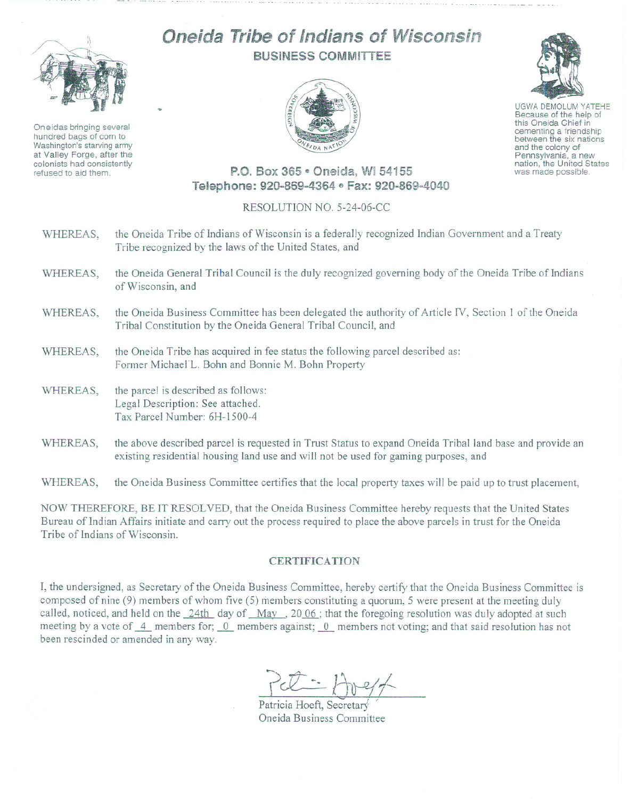

Oneidas bringing several hundred bags of corn to Washington's starving army at Valley Forge, after the colonists had consistently refused to aid them.

## Oneida Tribe of Indians of Wisconsin BUSINESS COMMITTEE





UGWA DEMOLUM YATEHE Because of the help of this Oneida Chief in between the six nations and the colony of<br>Pennsylvania, a new nation, the United States was made possible.

## P.O. Box 365 · Oneida, WI 54155 Telephone: 920-869-4364 · Fax: 920-869-4040

## RESOLUTION NO. 5-24-06-CC

- WHEREAS, the Oneida Tribe of Indians of Wisconsin is a federally recognized Indian Government and a Treaty Tribe recognized by the laws of the United States, and
- WHEREAS, the Oneida General Tribal Council is the duly recognized governing body of the Oneida Tribe of Indians of Wisconsin, and
- WHEREAS, the Oneida Business Committee has been delegated the authority of Article IV, Section 1 of the Oneida Tribal Constitution by the Oneida General Tribal Council, and
- WHEREAS, the Oneida Tribe has acquired in fee status the following parcel described as: Former Michael L. Bohn and Bonnie M. Bohn Property
- WHEREAS, the parcel is described as follows: Legal Description: See attached. Tax Parcel Number: 6H-1500-4
- WHEREAS, the above described parcel is requested in Trust Status to expand Oneida Tribal land base and provide an existing residential housing land use and will not be used for gaming purposes, and

WHEREAS, the Oneida Business Committee certifies that the local property taxes will be paid up to trust placement,

NOW THEREFORE, BE IT RESOLVED, that the Oneida Business Committee hereby requests that the United States Bureau of Indian Affairs initiate and carry out the process required to place the above parcels in trust for the Oneida Tribe of Indians of Wisconsin.

## **CERTIFICATION**

I, the undersigned, as Secretary of the Oneida Business Committee, hereby certify that the Oneida Business Committee is composed of nine  $(9)$  members of whom five  $(5)$  members constituting a quorum, 5 were present at the meeting duly called, noticed, and held on the 24th day of May, 2006; that the foregoing resolution was duly adopted at such meeting by a vote of  $-4$  members for;  $-0$  members against; 0 members not voting; and that said resolution has not been rescinded or amended in any way.

Pel : 11-9/7

Oneida Business Committee